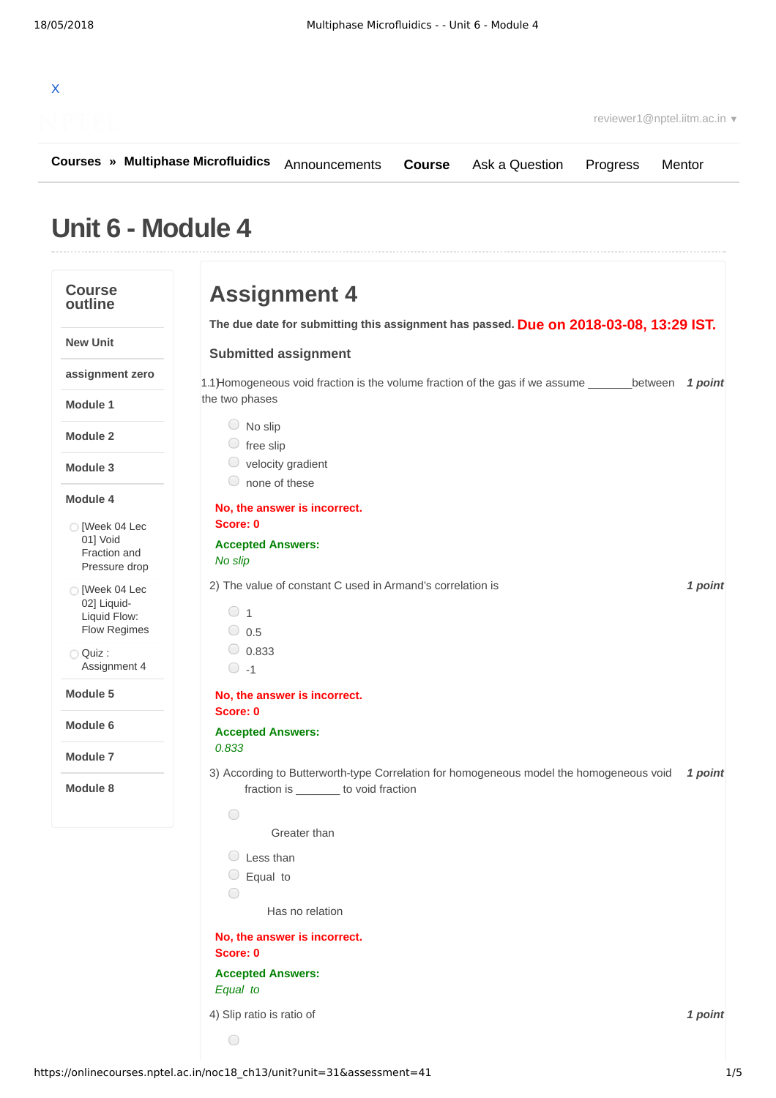

**[Courses](https://onlinecourses.nptel.ac.in/) » [Multiphase Microfluidics](https://onlinecourses.nptel.ac.in/noc18_ch13/course)** [Announcements](https://onlinecourses.nptel.ac.in/noc18_ch13/announcements) **[Course](https://onlinecourses.nptel.ac.in/noc18_ch13/course)** [Ask a Question](https://onlinecourses.nptel.ac.in/noc18_ch13/forum) [Progress](https://onlinecourses.nptel.ac.in/noc18_ch13/student/home) [Mentor](https://onlinecourses.nptel.ac.in/noc18_ch13/student/mentor)

## **Unit 6 - Module 4**

| <b>Course</b><br>outline | <b>Assignment 4</b>                                                                                                             |         |
|--------------------------|---------------------------------------------------------------------------------------------------------------------------------|---------|
|                          | The due date for submitting this assignment has passed. Due on 2018-03-08, 13:29 IST.                                           |         |
|                          | <b>Submitted assignment</b>                                                                                                     |         |
|                          | 1.1) Homogeneous void fraction is the volume fraction of the gas if we assume _________ between 1 point                         |         |
|                          | the two phases                                                                                                                  |         |
|                          | $\bigcirc$ No slip                                                                                                              |         |
|                          | $\circ$ free slip<br>velocity gradient                                                                                          |         |
|                          | none of these                                                                                                                   |         |
|                          | No, the answer is incorrect.                                                                                                    |         |
|                          | Score: 0                                                                                                                        |         |
|                          | <b>Accepted Answers:</b>                                                                                                        |         |
|                          | No slip                                                                                                                         |         |
|                          | 2) The value of constant C used in Armand's correlation is                                                                      | 1 point |
|                          | $\circ$ 1                                                                                                                       |         |
|                          | $\circ$ 0.5                                                                                                                     |         |
|                          | $\bigcirc$ 0.833                                                                                                                |         |
|                          | $\circ$ -1                                                                                                                      |         |
|                          | No, the answer is incorrect.                                                                                                    |         |
|                          | Score: 0                                                                                                                        |         |
|                          | <b>Accepted Answers:</b>                                                                                                        |         |
|                          | 0.833                                                                                                                           |         |
|                          | 3) According to Butterworth-type Correlation for homogeneous model the homogeneous void<br>fraction is _______ to void fraction | 1 point |
|                          | $\bigcirc$                                                                                                                      |         |
|                          | Greater than                                                                                                                    |         |
|                          | $\cup$ Less than                                                                                                                |         |
|                          | $\Box$ Equal to                                                                                                                 |         |
|                          |                                                                                                                                 |         |
|                          | Has no relation                                                                                                                 |         |
|                          | No, the answer is incorrect.<br>Score: 0                                                                                        |         |
|                          | <b>Accepted Answers:</b>                                                                                                        |         |
|                          | Equal to                                                                                                                        |         |
|                          | 4) Slip ratio is ratio of                                                                                                       | 1 point |
|                          |                                                                                                                                 |         |
|                          | $\bigcirc$                                                                                                                      |         |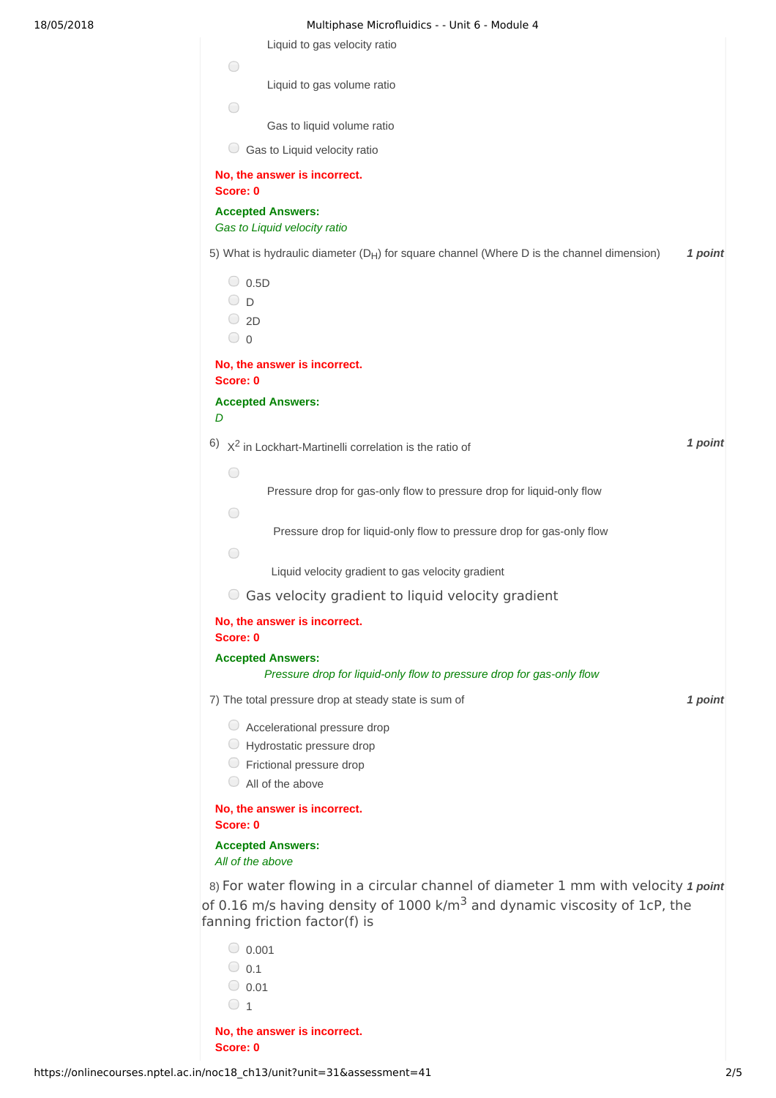| Multiphase Microfluidics - - Unit 6 - Module 4                                              |         |
|---------------------------------------------------------------------------------------------|---------|
| Liquid to gas velocity ratio                                                                |         |
| $\bigcirc$                                                                                  |         |
| Liquid to gas volume ratio                                                                  |         |
| $\bigcirc$<br>Gas to liquid volume ratio                                                    |         |
| Gas to Liquid velocity ratio                                                                |         |
| No, the answer is incorrect.                                                                |         |
| Score: 0                                                                                    |         |
| <b>Accepted Answers:</b><br>Gas to Liquid velocity ratio                                    |         |
| 5) What is hydraulic diameter $(D_H)$ for square channel (Where D is the channel dimension) | 1 point |
| $\bigcirc$ 0.5D                                                                             |         |
| ⊙ p                                                                                         |         |
| $\bigcirc$ 2D                                                                               |         |
| $\bigcirc$ 0                                                                                |         |
| No, the answer is incorrect.<br>Score: 0                                                    |         |
| <b>Accepted Answers:</b>                                                                    |         |
| D                                                                                           |         |
| $6)$ $X^2$ in Lockhart-Martinelli correlation is the ratio of                               | 1 point |
| $\bigcirc$                                                                                  |         |
| Pressure drop for gas-only flow to pressure drop for liquid-only flow                       |         |
| $\bigcirc$                                                                                  |         |
| Pressure drop for liquid-only flow to pressure drop for gas-only flow                       |         |
| $\bigcirc$<br>Liquid velocity gradient to gas velocity gradient                             |         |
| Gas velocity gradient to liquid velocity gradient                                           |         |
| No, the answer is incorrect.<br>Score: 0                                                    |         |
| <b>Accepted Answers:</b>                                                                    |         |
| Pressure drop for liquid-only flow to pressure drop for gas-only flow                       |         |
| 7) The total pressure drop at steady state is sum of                                        | 1 point |
| $\circ$ Accelerational pressure drop                                                        |         |
| Hydrostatic pressure drop                                                                   |         |
| Frictional pressure drop                                                                    |         |
| $\Box$ All of the above                                                                     |         |
| No, the answer is incorrect.<br>Score: 0                                                    |         |
| <b>Accepted Answers:</b>                                                                    |         |
| All of the above                                                                            |         |
| 8) For water flowing in a circular channel of diameter 1 mm with velocity 1 point           |         |
| of 0.16 m/s having density of 1000 k/m <sup>3</sup> and dynamic viscosity of 1cP, the       |         |
| fanning friction factor(f) is                                                               |         |
| $\circ$ 0.001                                                                               |         |
| $\bigcirc$ 0.1                                                                              |         |

 $\circ$  1

**No, the answer is incorrect. Score: 0**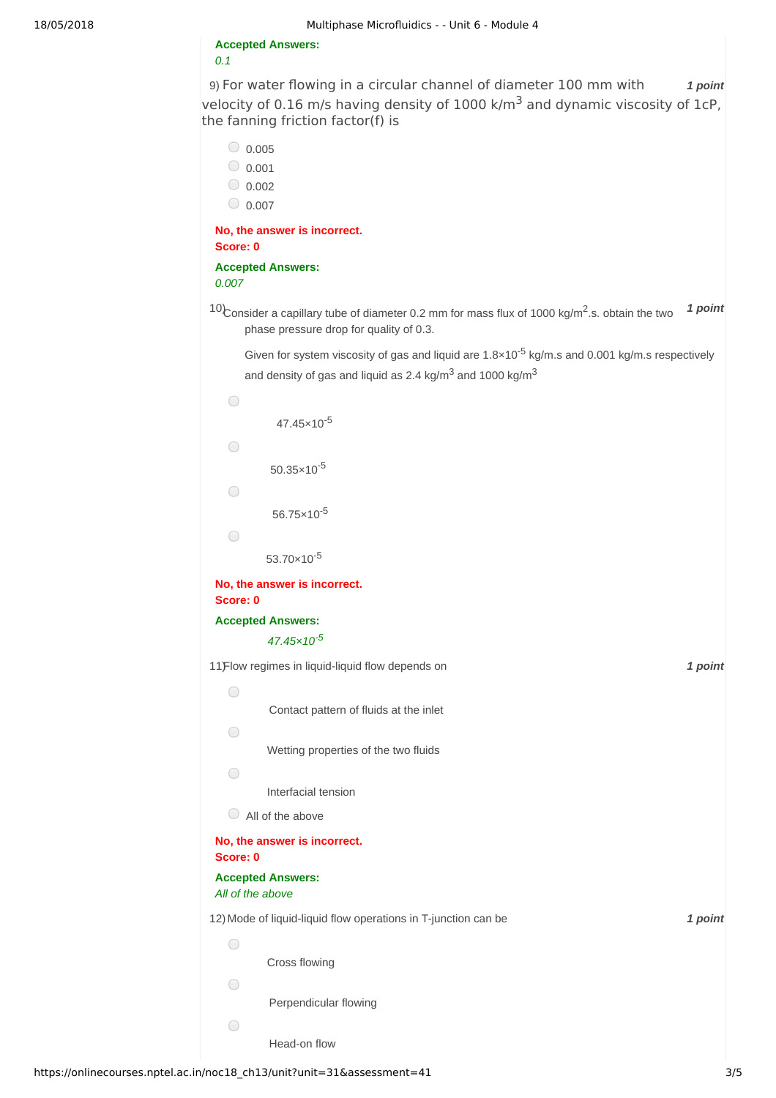**Accepted Answers:** *0.1*

9) *1 point* For water flowing in a circular channel of diameter 100 mm with velocity of 0.16 m/s having density of 1000  $k/m<sup>3</sup>$  and dynamic viscosity of 1cP, the fanning friction factor(f) is

 $\bigcirc$  0.005  $_0.001$  $\bigcirc$  0.002  $0.007$ **No, the answer is incorrect. Score: 0 Accepted Answers:** *0.007* <sup>10</sup>Consider a capillary tube of diameter 0.2 mm for mass flux of 1000 kg/m<sup>2</sup>.s. obtain the two <sup>1</sup> point phase pressure drop for quality of 0.3. Given for system viscosity of gas and liquid are  $1.8 \times 10^{-5}$  kg/m.s and 0.001 kg/m.s respectively and density of gas and liquid as 2.4 kg/m<sup>3</sup> and 1000 kg/m<sup>3</sup>  $\bigcirc$ 47.45×10 -5  $\bigcirc$  $50.35 \times 10^{-5}$  $\bigcirc$  $56.75 \times 10^{-5}$  $\bigcirc$ 53.70×10 -5 **No, the answer is incorrect. Score: 0 Accepted Answers:** *47.45×10 -5* 11) *1 point* Flow regimes in liquid-liquid flow depends on  $\bigcirc$ Contact pattern of fluids at the inlet  $\bigcirc$ Wetting properties of the two fluids  $\bigcap$ Interfacial tension All of the above **No, the answer is incorrect. Score: 0 Accepted Answers:** *All of the above*

12) *1 point* Mode of liquid-liquid flow operations in T-junction can be

Cross flowing

Perpendicular flowing

Head-on flow

 $\bigcirc$ 

 $\bigcirc$ 

 $\bigcirc$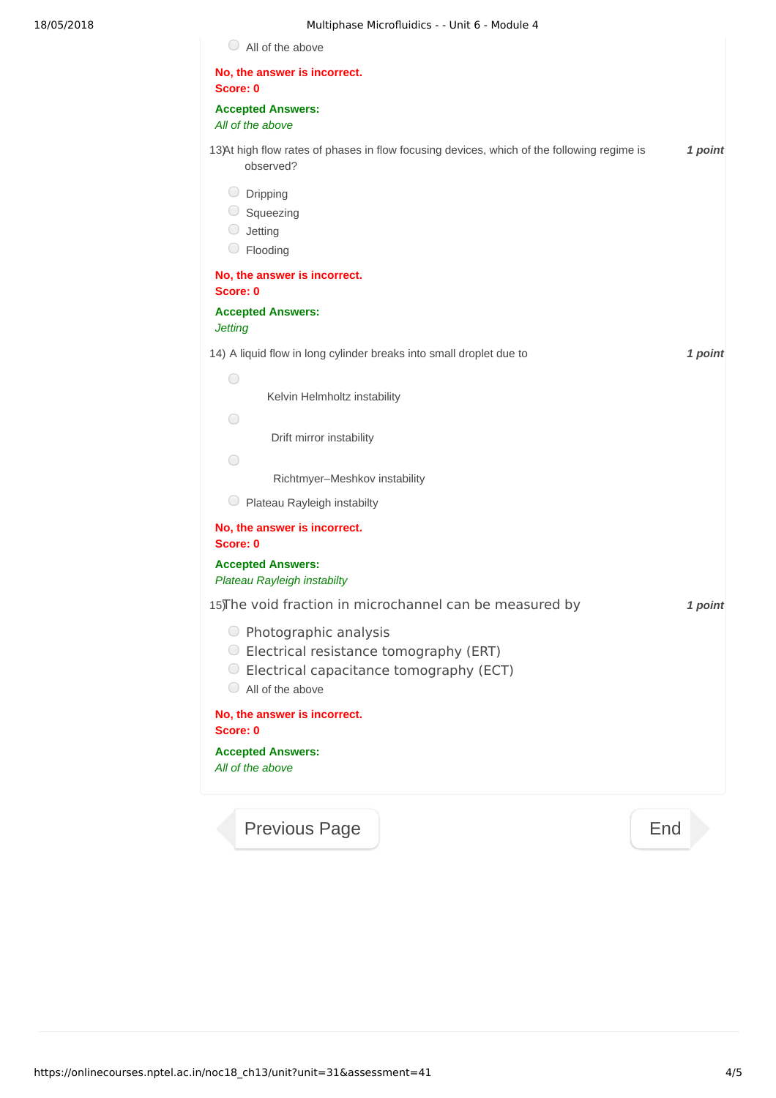| No, the answer is incorrect.<br>Score: 0                                                                                                        |         |
|-------------------------------------------------------------------------------------------------------------------------------------------------|---------|
| <b>Accepted Answers:</b><br>All of the above                                                                                                    |         |
| 13)At high flow rates of phases in flow focusing devices, which of the following regime is<br>observed?                                         | 1 point |
| $\bigcirc$ Dripping<br>$\circ$ Squeezing<br>Jetting<br>$\cup$<br>$\bigcirc$ Flooding                                                            |         |
| No, the answer is incorrect.<br>Score: 0                                                                                                        |         |
| <b>Accepted Answers:</b><br><b>Jetting</b>                                                                                                      |         |
| 14) A liquid flow in long cylinder breaks into small droplet due to                                                                             | 1 point |
| $\bigcirc$<br>Kelvin Helmholtz instability                                                                                                      |         |
| O<br>Drift mirror instability                                                                                                                   |         |
| ◯                                                                                                                                               |         |
| Richtmyer-Meshkov instability<br>Plateau Rayleigh instabilty                                                                                    |         |
| No, the answer is incorrect.<br>Score: 0                                                                                                        |         |
| <b>Accepted Answers:</b><br>Plateau Rayleigh instabilty                                                                                         |         |
| 15) The void fraction in microchannel can be measured by                                                                                        | 1 point |
| ○ Photographic analysis<br>○ Electrical resistance tomography (ERT)<br>○ Electrical capacitance tomography (ECT)<br>$\bigcirc$ All of the above |         |
| No, the answer is incorrect.<br>Score: 0                                                                                                        |         |
| <b>Accepted Answers:</b><br>All of the above                                                                                                    |         |